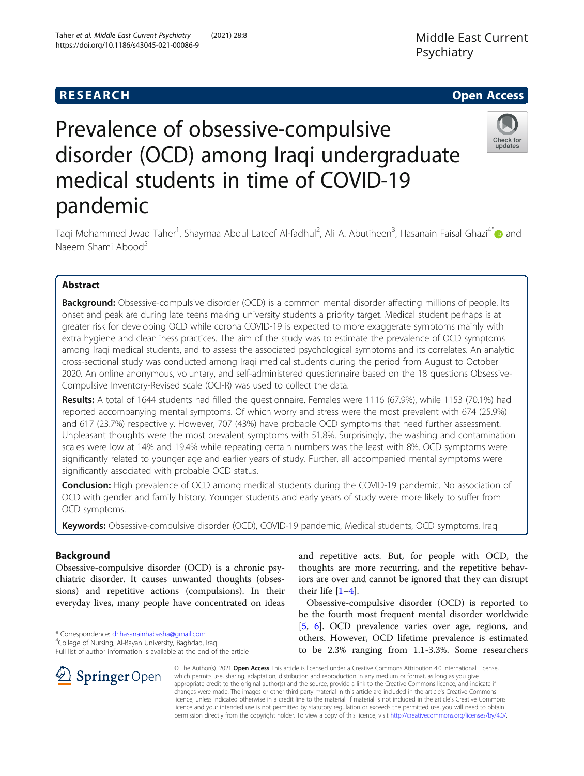# **RESEARCH CHE Open Access**

# Prevalence of obsessive-compulsive disorder (OCD) among Iraqi undergraduate medical students in time of COVID-19 pandemic

Taqi Mohammed Jwad Taher<sup>1</sup>, Shaymaa Abdul Lateef Al-fadhul<sup>2</sup>, Ali A. Abutiheen<sup>3</sup>, Hasanain Faisal Ghazi<sup>4[\\*](http://orcid.org/0000-0003-0367-3596)</sup>⊙ and Naeem Shami Abood<sup>5</sup>

# Abstract

**Background:** Obsessive-compulsive disorder (OCD) is a common mental disorder affecting millions of people. Its onset and peak are during late teens making university students a priority target. Medical student perhaps is at greater risk for developing OCD while corona COVID-19 is expected to more exaggerate symptoms mainly with extra hygiene and cleanliness practices. The aim of the study was to estimate the prevalence of OCD symptoms among Iraqi medical students, and to assess the associated psychological symptoms and its correlates. An analytic cross-sectional study was conducted among Iraqi medical students during the period from August to October 2020. An online anonymous, voluntary, and self-administered questionnaire based on the 18 questions Obsessive-Compulsive Inventory-Revised scale (OCI-R) was used to collect the data.

Results: A total of 1644 students had filled the questionnaire. Females were 1116 (67.9%), while 1153 (70.1%) had reported accompanying mental symptoms. Of which worry and stress were the most prevalent with 674 (25.9%) and 617 (23.7%) respectively. However, 707 (43%) have probable OCD symptoms that need further assessment. Unpleasant thoughts were the most prevalent symptoms with 51.8%. Surprisingly, the washing and contamination scales were low at 14% and 19.4% while repeating certain numbers was the least with 8%. OCD symptoms were significantly related to younger age and earlier years of study. Further, all accompanied mental symptoms were significantly associated with probable OCD status.

**Conclusion:** High prevalence of OCD among medical students during the COVID-19 pandemic. No association of OCD with gender and family history. Younger students and early years of study were more likely to suffer from OCD symptoms.

Keywords: Obsessive-compulsive disorder (OCD), COVID-19 pandemic, Medical students, OCD symptoms, Iraq

# Background

Obsessive-compulsive disorder (OCD) is a chronic psychiatric disorder. It causes unwanted thoughts (obsessions) and repetitive actions (compulsions). In their everyday lives, many people have concentrated on ideas

\* Correspondence: [dr.hasanainhabasha@gmail.com](mailto:dr.hasanainhabasha@gmail.com) <sup>4</sup>

SpringerOpen

<sup>4</sup>College of Nursing, Al-Bayan University, Baghdad, Iraq

Full list of author information is available at the end of the article

and repetitive acts. But, for people with OCD, the thoughts are more recurring, and the repetitive behaviors are over and cannot be ignored that they can disrupt their life  $[1-4]$  $[1-4]$  $[1-4]$  $[1-4]$ .

Obsessive-compulsive disorder (OCD) is reported to be the fourth most frequent mental disorder worldwide [[5,](#page-6-0) [6](#page-6-0)]. OCD prevalence varies over age, regions, and others. However, OCD lifetime prevalence is estimated to be 2.3% ranging from 1.1-3.3%. Some researchers

© The Author(s). 2021 Open Access This article is licensed under a Creative Commons Attribution 4.0 International License, which permits use, sharing, adaptation, distribution and reproduction in any medium or format, as long as you give appropriate credit to the original author(s) and the source, provide a link to the Creative Commons licence, and indicate if changes were made. The images or other third party material in this article are included in the article's Creative Commons licence, unless indicated otherwise in a credit line to the material. If material is not included in the article's Creative Commons licence and your intended use is not permitted by statutory regulation or exceeds the permitted use, you will need to obtain permission directly from the copyright holder. To view a copy of this licence, visit <http://creativecommons.org/licenses/by/4.0/>.





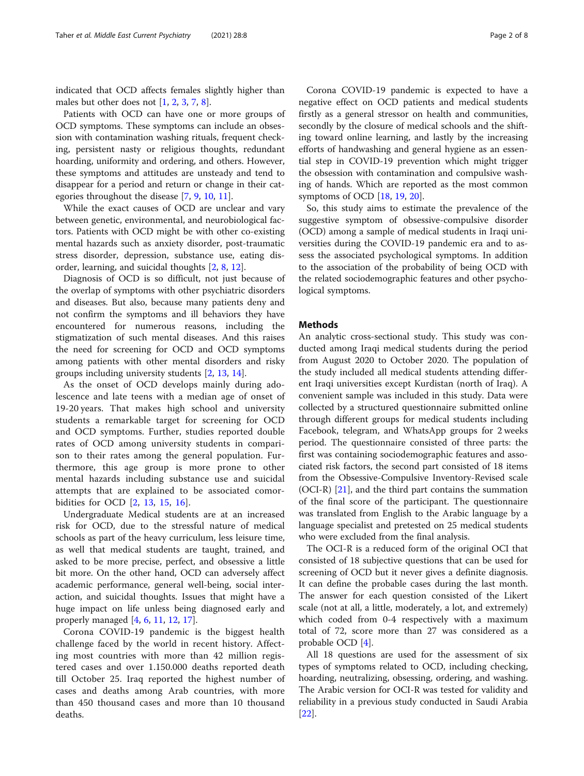indicated that OCD affects females slightly higher than males but other does not  $[1, 2, 3, 7, 8]$  $[1, 2, 3, 7, 8]$  $[1, 2, 3, 7, 8]$  $[1, 2, 3, 7, 8]$  $[1, 2, 3, 7, 8]$  $[1, 2, 3, 7, 8]$  $[1, 2, 3, 7, 8]$  $[1, 2, 3, 7, 8]$  $[1, 2, 3, 7, 8]$  $[1, 2, 3, 7, 8]$ .

Patients with OCD can have one or more groups of OCD symptoms. These symptoms can include an obsession with contamination washing rituals, frequent checking, persistent nasty or religious thoughts, redundant hoarding, uniformity and ordering, and others. However, these symptoms and attitudes are unsteady and tend to disappear for a period and return or change in their categories throughout the disease [[7,](#page-6-0) [9,](#page-6-0) [10,](#page-6-0) [11\]](#page-6-0).

While the exact causes of OCD are unclear and vary between genetic, environmental, and neurobiological factors. Patients with OCD might be with other co-existing mental hazards such as anxiety disorder, post-traumatic stress disorder, depression, substance use, eating disorder, learning, and suicidal thoughts [[2,](#page-6-0) [8,](#page-6-0) [12\]](#page-6-0).

Diagnosis of OCD is so difficult, not just because of the overlap of symptoms with other psychiatric disorders and diseases. But also, because many patients deny and not confirm the symptoms and ill behaviors they have encountered for numerous reasons, including the stigmatization of such mental diseases. And this raises the need for screening for OCD and OCD symptoms among patients with other mental disorders and risky groups including university students [[2,](#page-6-0) [13](#page-6-0), [14](#page-6-0)].

As the onset of OCD develops mainly during adolescence and late teens with a median age of onset of 19-20 years. That makes high school and university students a remarkable target for screening for OCD and OCD symptoms. Further, studies reported double rates of OCD among university students in comparison to their rates among the general population. Furthermore, this age group is more prone to other mental hazards including substance use and suicidal attempts that are explained to be associated comorbidities for OCD [\[2](#page-6-0), [13,](#page-6-0) [15,](#page-6-0) [16\]](#page-6-0).

Undergraduate Medical students are at an increased risk for OCD, due to the stressful nature of medical schools as part of the heavy curriculum, less leisure time, as well that medical students are taught, trained, and asked to be more precise, perfect, and obsessive a little bit more. On the other hand, OCD can adversely affect academic performance, general well-being, social interaction, and suicidal thoughts. Issues that might have a huge impact on life unless being diagnosed early and properly managed [[4,](#page-6-0) [6,](#page-6-0) [11,](#page-6-0) [12](#page-6-0), [17](#page-6-0)].

Corona COVID-19 pandemic is the biggest health challenge faced by the world in recent history. Affecting most countries with more than 42 million registered cases and over 1.150.000 deaths reported death till October 25. Iraq reported the highest number of cases and deaths among Arab countries, with more than 450 thousand cases and more than 10 thousand deaths.

Corona COVID-19 pandemic is expected to have a negative effect on OCD patients and medical students firstly as a general stressor on health and communities, secondly by the closure of medical schools and the shifting toward online learning, and lastly by the increasing efforts of handwashing and general hygiene as an essential step in COVID-19 prevention which might trigger the obsession with contamination and compulsive washing of hands. Which are reported as the most common symptoms of OCD [[18,](#page-6-0) [19,](#page-6-0) [20\]](#page-6-0).

So, this study aims to estimate the prevalence of the suggestive symptom of obsessive-compulsive disorder (OCD) among a sample of medical students in Iraqi universities during the COVID-19 pandemic era and to assess the associated psychological symptoms. In addition to the association of the probability of being OCD with the related sociodemographic features and other psychological symptoms.

# **Methods**

An analytic cross-sectional study. This study was conducted among Iraqi medical students during the period from August 2020 to October 2020. The population of the study included all medical students attending different Iraqi universities except Kurdistan (north of Iraq). A convenient sample was included in this study. Data were collected by a structured questionnaire submitted online through different groups for medical students including Facebook, telegram, and WhatsApp groups for 2 weeks period. The questionnaire consisted of three parts: the first was containing sociodemographic features and associated risk factors, the second part consisted of 18 items from the Obsessive-Compulsive Inventory-Revised scale (OCI-R) [\[21](#page-6-0)], and the third part contains the summation of the final score of the participant. The questionnaire was translated from English to the Arabic language by a language specialist and pretested on 25 medical students who were excluded from the final analysis.

The OCI-R is a reduced form of the original OCI that consisted of 18 subjective questions that can be used for screening of OCD but it never gives a definite diagnosis. It can define the probable cases during the last month. The answer for each question consisted of the Likert scale (not at all, a little, moderately, a lot, and extremely) which coded from 0-4 respectively with a maximum total of 72, score more than 27 was considered as a probable OCD [[4\]](#page-6-0).

All 18 questions are used for the assessment of six types of symptoms related to OCD, including checking, hoarding, neutralizing, obsessing, ordering, and washing. The Arabic version for OCI-R was tested for validity and reliability in a previous study conducted in Saudi Arabia [[22\]](#page-6-0).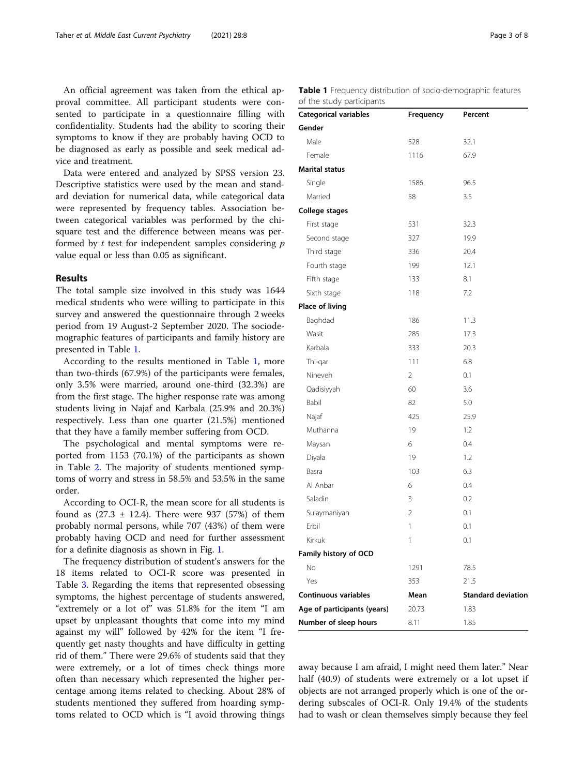An official agreement was taken from the ethical approval committee. All participant students were consented to participate in a questionnaire filling with confidentiality. Students had the ability to scoring their symptoms to know if they are probably having OCD to be diagnosed as early as possible and seek medical advice and treatment.

Data were entered and analyzed by SPSS version 23. Descriptive statistics were used by the mean and standard deviation for numerical data, while categorical data were represented by frequency tables. Association between categorical variables was performed by the chisquare test and the difference between means was performed by  $t$  test for independent samples considering  $p$ value equal or less than 0.05 as significant.

# Results

The total sample size involved in this study was 1644 medical students who were willing to participate in this survey and answered the questionnaire through 2 weeks period from 19 August-2 September 2020. The sociodemographic features of participants and family history are presented in Table 1.

According to the results mentioned in Table 1, more than two-thirds (67.9%) of the participants were females, only 3.5% were married, around one-third (32.3%) are from the first stage. The higher response rate was among students living in Najaf and Karbala (25.9% and 20.3%) respectively. Less than one quarter (21.5%) mentioned that they have a family member suffering from OCD.

The psychological and mental symptoms were reported from 1153 (70.1%) of the participants as shown in Table [2](#page-3-0). The majority of students mentioned symptoms of worry and stress in 58.5% and 53.5% in the same order.

According to OCI-R, the mean score for all students is found as  $(27.3 \pm 12.4)$ . There were 937 (57%) of them probably normal persons, while 707 (43%) of them were probably having OCD and need for further assessment for a definite diagnosis as shown in Fig. [1](#page-3-0).

The frequency distribution of student's answers for the 18 items related to OCI-R score was presented in Table [3](#page-4-0). Regarding the items that represented obsessing symptoms, the highest percentage of students answered, "extremely or a lot of" was 51.8% for the item "I am upset by unpleasant thoughts that come into my mind against my will" followed by 42% for the item "I frequently get nasty thoughts and have difficulty in getting rid of them." There were 29.6% of students said that they were extremely, or a lot of times check things more often than necessary which represented the higher percentage among items related to checking. About 28% of students mentioned they suffered from hoarding symptoms related to OCD which is "I avoid throwing things

|  |                           | <b>Table 1</b> Frequency distribution of socio-demographic features |  |
|--|---------------------------|---------------------------------------------------------------------|--|
|  | of the study participants |                                                                     |  |

| who start have copaints     |                |                           |
|-----------------------------|----------------|---------------------------|
| Categorical variables       | Frequency      | Percent                   |
| Gender                      |                |                           |
| Male                        | 528            | 32.1                      |
| Female                      | 1116           | 67.9                      |
| <b>Marital status</b>       |                |                           |
| Single                      | 1586           | 96.5                      |
| Married                     | 58             | 3.5                       |
| College stages              |                |                           |
| First stage                 | 531            | 32.3                      |
| Second stage                | 327            | 19.9                      |
| Third stage                 | 336            | 20.4                      |
| Fourth stage                | 199            | 12.1                      |
| Fifth stage                 | 133            | 8.1                       |
| Sixth stage                 | 118            | 7.2                       |
| Place of living             |                |                           |
| Baghdad                     | 186            | 11.3                      |
| Wasit                       | 285            | 17.3                      |
| Karbala                     | 333            | 20.3                      |
| Thi-gar                     | 111            | 6.8                       |
| Nineveh                     | 2              | 0.1                       |
| Qadisiyyah                  | 60             | 3.6                       |
| Babil                       | 82             | 5.0                       |
| Najaf                       | 425            | 25.9                      |
| Muthanna                    | 19             | 1.2                       |
| Maysan                      | 6              | 0.4                       |
| Diyala                      | 19             | 1.2                       |
| Basra                       | 103            | 6.3                       |
| Al Anbar                    | 6              | 0.4                       |
| Saladin                     | 3              | 0.2                       |
| Sulaymaniyah                | $\overline{2}$ | 0.1                       |
| Erbil                       | 1              | 0.1                       |
| Kirkuk                      | 1              | 0.1                       |
| Family history of OCD       |                |                           |
| No                          | 1291           | 78.5                      |
| Yes                         | 353            | 21.5                      |
| <b>Continuous variables</b> | Mean           | <b>Standard deviation</b> |
| Age of participants (years) | 20.73          | 1.83                      |
| Number of sleep hours       | 8.11           | 1.85                      |

away because I am afraid, I might need them later." Near half (40.9) of students were extremely or a lot upset if objects are not arranged properly which is one of the ordering subscales of OCI-R. Only 19.4% of the students had to wash or clean themselves simply because they feel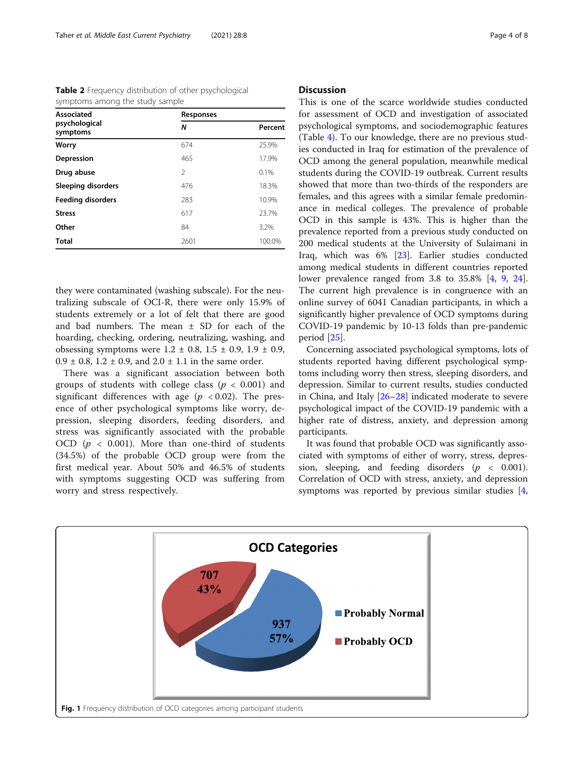<span id="page-3-0"></span>

|  |                                 | <b>Table 2</b> Frequency distribution of other psychological |
|--|---------------------------------|--------------------------------------------------------------|
|  | symptoms among the study sample |                                                              |

| <b>Associated</b>         | Responses     |         |
|---------------------------|---------------|---------|
| psychological<br>symptoms | N             | Percent |
| Worry                     | 674           | 25.9%   |
| Depression                | 465           | 17.9%   |
| Drug abuse                | $\mathcal{P}$ | 0.1%    |
| Sleeping disorders        | 476           | 18.3%   |
| <b>Feeding disorders</b>  | 283           | 10.9%   |
| <b>Stress</b>             | 617           | 23.7%   |
| Other                     | 84            | 3.2%    |
| <b>Total</b>              | 2601          | 100.0%  |

they were contaminated (washing subscale). For the neutralizing subscale of OCI-R, there were only 15.9% of students extremely or a lot of felt that there are good and bad numbers. The mean ± SD for each of the hoarding, checking, ordering, neutralizing, washing, and obsessing symptoms were  $1.2 \pm 0.8$ ,  $1.5 \pm 0.9$ ,  $1.9 \pm 0.9$ ,  $0.9 \pm 0.8$ ,  $1.2 \pm 0.9$ , and  $2.0 \pm 1.1$  in the same order.

There was a significant association between both groups of students with college class ( $p < 0.001$ ) and significant differences with age ( $p < 0.02$ ). The presence of other psychological symptoms like worry, depression, sleeping disorders, feeding disorders, and stress was significantly associated with the probable OCD ( $p < 0.001$ ). More than one-third of students (34.5%) of the probable OCD group were from the first medical year. About 50% and 46.5% of students with symptoms suggesting OCD was suffering from worry and stress respectively.

## **Discussion**

This is one of the scarce worldwide studies conducted for assessment of OCD and investigation of associated psychological symptoms, and sociodemographic features (Table [4\)](#page-5-0). To our knowledge, there are no previous studies conducted in Iraq for estimation of the prevalence of OCD among the general population, meanwhile medical students during the COVID-19 outbreak. Current results showed that more than two-thirds of the responders are females, and this agrees with a similar female predominance in medical colleges. The prevalence of probable OCD in this sample is 43%. This is higher than the prevalence reported from a previous study conducted on 200 medical students at the University of Sulaimani in Iraq, which was 6% [\[23](#page-6-0)]. Earlier studies conducted among medical students in different countries reported lower prevalence ranged from 3.8 to 35.8% [[4,](#page-6-0) [9](#page-6-0), [24](#page-6-0)]. The current high prevalence is in congruence with an online survey of 6041 Canadian participants, in which a significantly higher prevalence of OCD symptoms during COVID-19 pandemic by 10-13 folds than pre-pandemic period [\[25\]](#page-6-0).

Concerning associated psychological symptoms, lots of students reported having different psychological symptoms including worry then stress, sleeping disorders, and depression. Similar to current results, studies conducted in China, and Italy [[26](#page-6-0)–[28](#page-6-0)] indicated moderate to severe psychological impact of the COVID-19 pandemic with a higher rate of distress, anxiety, and depression among participants.

It was found that probable OCD was significantly associated with symptoms of either of worry, stress, depression, sleeping, and feeding disorders ( $p < 0.001$ ). Correlation of OCD with stress, anxiety, and depression symptoms was reported by previous similar studies [\[4](#page-6-0),

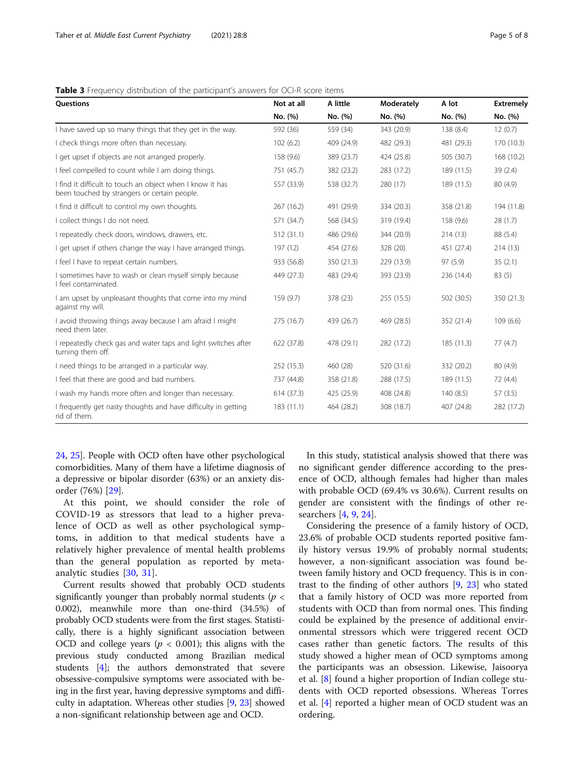| <b>Ouestions</b>                                                                                          | Not at all | A little   | Moderately | A lot      | <b>Extremely</b> |
|-----------------------------------------------------------------------------------------------------------|------------|------------|------------|------------|------------------|
|                                                                                                           | No. (%)    | No. (%)    | No. (%)    | No. (%)    | No. (%)          |
| I have saved up so many things that they get in the way.                                                  | 592 (36)   | 559 (34)   | 343 (20.9) | 138 (8.4)  | 12(0.7)          |
| I check things more often than necessary.                                                                 | 102(6.2)   | 409 (24.9) | 482 (29.3) | 481 (29.3) | 170 (10.3)       |
| I get upset if objects are not arranged properly.                                                         | 158 (9.6)  | 389 (23.7) | 424 (25.8) | 505 (30.7) | 168 (10.2)       |
| I feel compelled to count while I am doing things.                                                        | 751 (45.7) | 382 (23.2) | 283 (17.2) | 189 (11.5) | 39(2.4)          |
| I find it difficult to touch an object when I know it has<br>been touched by strangers or certain people. | 557 (33.9) | 538 (32.7) | 280 (17)   | 189 (11.5) | 80(4.9)          |
| I find it difficult to control my own thoughts.                                                           | 267 (16.2) | 491 (29.9) | 334 (20.3) | 358 (21.8) | 194 (11.8)       |
| I collect things I do not need.                                                                           | 571 (34.7) | 568 (34.5) | 319 (19.4) | 158 (9.6)  | 28(1.7)          |
| I repeatedly check doors, windows, drawers, etc.                                                          | 512 (31.1) | 486 (29.6) | 344 (20.9) | 214(13)    | 88 (5.4)         |
| I get upset if others change the way I have arranged things.                                              | 197 (12)   | 454 (27.6) | 328 (20)   | 451 (27.4) | 214(13)          |
| I feel I have to repeat certain numbers.                                                                  | 933 (56.8) | 350 (21.3) | 229 (13.9) | 97(5.9)    | 35(2.1)          |
| I sometimes have to wash or clean myself simply because<br>I feel contaminated.                           | 449 (27.3) | 483 (29.4) | 393 (23.9) | 236 (14.4) | 83(5)            |
| I am upset by unpleasant thoughts that come into my mind<br>against my will.                              | 159 (9.7)  | 378 (23)   | 255 (15.5) | 502 (30.5) | 350 (21.3)       |
| I avoid throwing things away because I am afraid I might<br>need them later.                              | 275(16.7)  | 439 (26.7) | 469 (28.5) | 352 (21.4) | 109(6.6)         |
| I repeatedly check gas and water taps and light switches after<br>turning them off.                       | 622 (37.8) | 478 (29.1) | 282 (17.2) | 185 (11.3) | 77(4.7)          |
| I need things to be arranged in a particular way.                                                         | 252 (15.3) | 460 (28)   | 520 (31.6) | 332 (20.2) | 80(4.9)          |
| I feel that there are good and bad numbers.                                                               | 737 (44.8) | 358 (21.8) | 288 (17.5) | 189 (11.5) | 72 (4.4)         |
| I wash my hands more often and longer than necessary.                                                     | 614 (37.3) | 425 (25.9) | 408 (24.8) | 140(8.5)   | 57(3.5)          |
| I frequently get nasty thoughts and have difficulty in getting<br>rid of them.                            | 183 (11.1) | 464 (28.2) | 308 (18.7) | 407 (24.8) | 282 (17.2)       |

## <span id="page-4-0"></span>Table 3 Frequency distribution of the participant's answers for OCI-R score items

[24,](#page-6-0) [25\]](#page-6-0). People with OCD often have other psychological comorbidities. Many of them have a lifetime diagnosis of a depressive or bipolar disorder (63%) or an anxiety disorder (76%) [[29\]](#page-6-0).

At this point, we should consider the role of COVID-19 as stressors that lead to a higher prevalence of OCD as well as other psychological symptoms, in addition to that medical students have a relatively higher prevalence of mental health problems than the general population as reported by metaanalytic studies [[30,](#page-7-0) [31\]](#page-7-0).

Current results showed that probably OCD students significantly younger than probably normal students ( $p <$ 0.002), meanwhile more than one-third (34.5%) of probably OCD students were from the first stages. Statistically, there is a highly significant association between OCD and college years ( $p < 0.001$ ); this aligns with the previous study conducted among Brazilian medical students [\[4](#page-6-0)]; the authors demonstrated that severe obsessive-compulsive symptoms were associated with being in the first year, having depressive symptoms and difficulty in adaptation. Whereas other studies [\[9](#page-6-0), [23](#page-6-0)] showed a non-significant relationship between age and OCD.

In this study, statistical analysis showed that there was no significant gender difference according to the presence of OCD, although females had higher than males with probable OCD (69.4% vs 30.6%). Current results on gender are consistent with the findings of other researchers [[4,](#page-6-0) [9,](#page-6-0) [24](#page-6-0)].

Considering the presence of a family history of OCD, 23.6% of probable OCD students reported positive family history versus 19.9% of probably normal students; however, a non-significant association was found between family history and OCD frequency. This is in contrast to the finding of other authors [[9,](#page-6-0) [23\]](#page-6-0) who stated that a family history of OCD was more reported from students with OCD than from normal ones. This finding could be explained by the presence of additional environmental stressors which were triggered recent OCD cases rather than genetic factors. The results of this study showed a higher mean of OCD symptoms among the participants was an obsession. Likewise, Jaisoorya et al. [\[8](#page-6-0)] found a higher proportion of Indian college students with OCD reported obsessions. Whereas Torres et al. [[4\]](#page-6-0) reported a higher mean of OCD student was an ordering.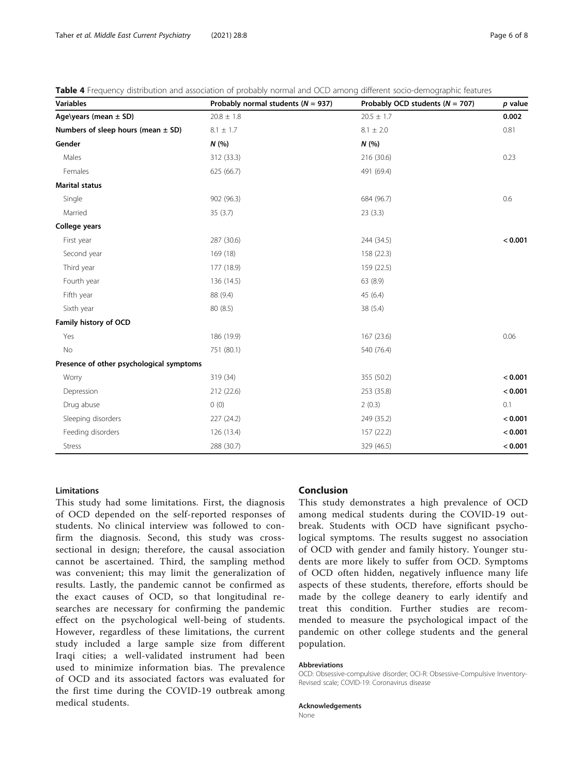<span id="page-5-0"></span>

|  |  |  |  |  | Table 4 Frequency distribution and association of probably normal and OCD among different socio-demographic features |  |
|--|--|--|--|--|----------------------------------------------------------------------------------------------------------------------|--|
|--|--|--|--|--|----------------------------------------------------------------------------------------------------------------------|--|

| <b>Variables</b>                         | Probably normal students ( $N = 937$ ) | Probably OCD students ( $N = 707$ ) | p value |
|------------------------------------------|----------------------------------------|-------------------------------------|---------|
| Age\years (mean $\pm$ SD)                | $20.8 \pm 1.8$                         | $20.5 \pm 1.7$                      | 0.002   |
| Numbers of sleep hours (mean $\pm$ SD)   | $8.1 \pm 1.7$                          | $8.1 \pm 2.0$                       | 0.81    |
| Gender                                   | N(%)                                   | N(%                                 |         |
| Males                                    | 312 (33.3)                             | 216 (30.6)                          | 0.23    |
| Females                                  | 625 (66.7)                             | 491 (69.4)                          |         |
| <b>Marital status</b>                    |                                        |                                     |         |
| Single                                   | 902 (96.3)                             | 684 (96.7)                          | 0.6     |
| Married                                  | 35(3.7)                                | 23(3.3)                             |         |
| College years                            |                                        |                                     |         |
| First year                               | 287 (30.6)                             | 244 (34.5)                          | < 0.001 |
| Second year                              | 169 (18)                               | 158 (22.3)                          |         |
| Third year                               | 177 (18.9)                             | 159 (22.5)                          |         |
| Fourth year                              | 136 (14.5)                             | 63 (8.9)                            |         |
| Fifth year                               | 88 (9.4)                               | 45 (6.4)                            |         |
| Sixth year                               | 80 (8.5)                               | 38 (5.4)                            |         |
| Family history of OCD                    |                                        |                                     |         |
| Yes                                      | 186 (19.9)                             | 167 (23.6)                          | 0.06    |
| No                                       | 751 (80.1)                             | 540 (76.4)                          |         |
| Presence of other psychological symptoms |                                        |                                     |         |
| Worry                                    | 319 (34)                               | 355 (50.2)                          | < 0.001 |
| Depression                               | 212 (22.6)                             | 253 (35.8)                          | < 0.001 |
| Drug abuse                               | 0(0)                                   | 2(0.3)                              | 0.1     |
| Sleeping disorders                       | 227 (24.2)                             | 249 (35.2)                          | < 0.001 |
| Feeding disorders                        | 126 (13.4)                             | 157 (22.2)                          | < 0.001 |
| Stress                                   | 288 (30.7)                             | 329 (46.5)                          | < 0.001 |

## **Limitations**

This study had some limitations. First, the diagnosis of OCD depended on the self-reported responses of students. No clinical interview was followed to confirm the diagnosis. Second, this study was crosssectional in design; therefore, the causal association cannot be ascertained. Third, the sampling method was convenient; this may limit the generalization of results. Lastly, the pandemic cannot be confirmed as the exact causes of OCD, so that longitudinal researches are necessary for confirming the pandemic effect on the psychological well-being of students. However, regardless of these limitations, the current study included a large sample size from different Iraqi cities; a well-validated instrument had been used to minimize information bias. The prevalence of OCD and its associated factors was evaluated for the first time during the COVID-19 outbreak among medical students.

# Conclusion

This study demonstrates a high prevalence of OCD among medical students during the COVID-19 outbreak. Students with OCD have significant psychological symptoms. The results suggest no association of OCD with gender and family history. Younger students are more likely to suffer from OCD. Symptoms of OCD often hidden, negatively influence many life aspects of these students, therefore, efforts should be made by the college deanery to early identify and treat this condition. Further studies are recommended to measure the psychological impact of the pandemic on other college students and the general population.

#### Abbreviations

OCD: Obsessive-compulsive disorder; OCI-R: Obsessive-Compulsive Inventory-Revised scale; COVID-19: Coronavirus disease

#### Acknowledgements

None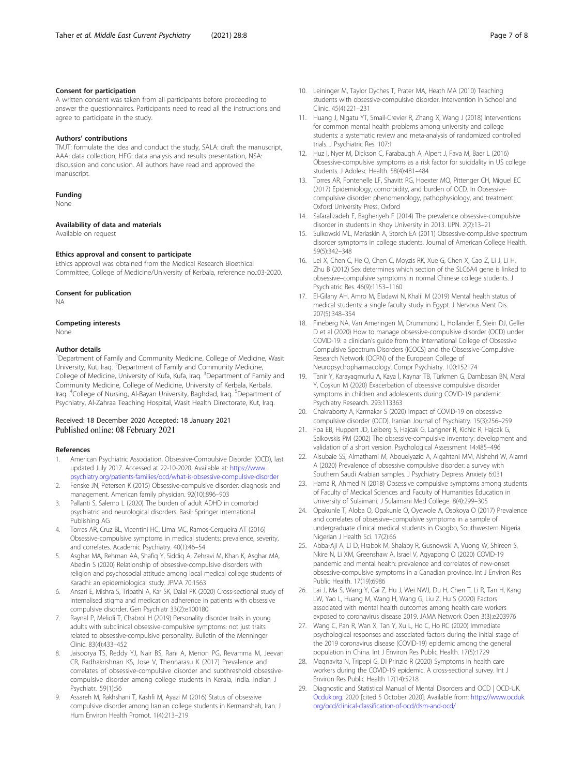### <span id="page-6-0"></span>Consent for participation

A written consent was taken from all participants before proceeding to answer the questionnaires. Participants need to read all the instructions and agree to participate in the study.

#### Authors' contributions

TMJT: formulate the idea and conduct the study, SALA: draft the manuscript, AAA: data collection, HFG: data analysis and results presentation, NSA: discussion and conclusion. All authors have read and approved the manuscript.

#### Funding

None

#### Availability of data and materials

Available on request

#### Ethics approval and consent to participate

Ethics approval was obtained from the Medical Research Bioethical Committee, College of Medicine/University of Kerbala, reference no.:03-2020.

#### Consent for publication

NA

#### Competing interests

None

#### Author details

<sup>1</sup>Department of Family and Community Medicine, College of Medicine, Wasit University, Kut, Iraq. <sup>2</sup> Department of Family and Community Medicine, College of Medicine, University of Kufa, Kufa, Iraq. <sup>3</sup>Department of Family and Community Medicine, College of Medicine, University of Kerbala, Kerbala, Iraq. <sup>4</sup>College of Nursing, Al-Bayan University, Baghdad, Iraq. <sup>5</sup>Department of Psychiatry, Al-Zahraa Teaching Hospital, Wasit Health Directorate, Kut, Iraq.

## Received: 18 December 2020 Accepted: 18 January 2021 Published online: 08 February 2021

#### References

- 1. American Psychiatric Association, Obsessive-Compulsive Disorder (OCD), last updated July 2017. Accessed at 22-10-2020. Available at: [https://www.](https://www.psychiatry.org/patients-families/ocd/what-is-obsessive-compulsive-disorder) [psychiatry.org/patients-families/ocd/what-is-obsessive-compulsive-disorder](https://www.psychiatry.org/patients-families/ocd/what-is-obsessive-compulsive-disorder)
- 2. Fenske JN, Petersen K (2015) Obsessive-compulsive disorder: diagnosis and management. American family physician. 92(10):896–903
- 3. Pallanti S, Salerno L (2020) The burden of adult ADHD in comorbid psychiatric and neurological disorders. Basil: Springer International Publishing AG
- 4. Torres AR, Cruz BL, Vicentini HC, Lima MC, Ramos-Cerqueira AT (2016) Obsessive-compulsive symptoms in medical students: prevalence, severity, and correlates. Academic Psychiatry. 40(1):46–54
- 5. Asghar MA, Rehman AA, Shafiq Y, Siddiq A, Zehravi M, Khan K, Asghar MA, Abedin S (2020) Relationship of obsessive-compulsive disorders with religion and psychosocial attitude among local medical college students of Karachi: an epidemiological study. JPMA 70:1563
- 6. Ansari E, Mishra S, Tripathi A, Kar SK, Dalal PK (2020) Cross-sectional study of internalised stigma and medication adherence in patients with obsessive compulsive disorder. Gen Psychiatr 33(2):e100180
- Raynal P, Melioli T, Chabrol H (2019) Personality disorder traits in young adults with subclinical obsessive-compulsive symptoms: not just traits related to obsessive-compulsive personality. Bulletin of the Menninger Clinic. 83(4):433–452
- 8. Jaisoorya TS, Reddy YJ, Nair BS, Rani A, Menon PG, Revamma M, Jeevan CR, Radhakrishnan KS, Jose V, Thennarasu K (2017) Prevalence and correlates of obsessive-compulsive disorder and subthreshold obsessivecompulsive disorder among college students in Kerala, India. Indian J Psychiatr. 59(1):56
- Assareh M, Rakhshani T, Kashfi M, Ayazi M (2016) Status of obsessive compulsive disorder among Iranian college students in Kermanshah, Iran. J Hum Environ Health Promot. 1(4):213–219
- 10. Leininger M, Taylor Dyches T, Prater MA, Heath MA (2010) Teaching students with obsessive-compulsive disorder. Intervention in School and Clinic. 45(4):221–231
- 11. Huang J, Nigatu YT, Smail-Crevier R, Zhang X, Wang J (2018) Interventions for common mental health problems among university and college students: a systematic review and meta-analysis of randomized controlled trials. J Psychiatric Res. 107:1
- 12. Huz I, Nyer M, Dickson C, Farabaugh A, Alpert J, Fava M, Baer L (2016) Obsessive-compulsive symptoms as a risk factor for suicidality in US college students. J Adolesc Health. 58(4):481–484
- 13. Torres AR, Fontenelle LF, Shavitt RG, Hoexter MQ, Pittenger CH, Miguel EC (2017) Epidemiology, comorbidity, and burden of OCD. In Obsessivecompulsive disorder: phenomenology, pathophysiology, and treatment. Oxford University Press, Oxford
- 14. Safaralizadeh F, Bagheriyeh F (2014) The prevalence obsessive-compulsive disorder in students in Khoy University in 2013. IJPN. 2(2):13–21
- 15. Sulkowski ML, Mariaskin A, Storch EA (2011) Obsessive-compulsive spectrum disorder symptoms in college students. Journal of American College Health. 59(5):342–348
- 16. Lei X, Chen C, He Q, Chen C, Moyzis RK, Xue G, Chen X, Cao Z, Li J, Li H, Zhu B (2012) Sex determines which section of the SLC6A4 gene is linked to obsessive–compulsive symptoms in normal Chinese college students. J Psychiatric Res. 46(9):1153–1160
- 17. El-Gilany AH, Amro M, Eladawi N, Khalil M (2019) Mental health status of medical students: a single faculty study in Egypt. J Nervous Ment Dis. 207(5):348–354
- 18. Fineberg NA, Van Ameringen M, Drummond L, Hollander E, Stein DJ, Geller D et al (2020) How to manage obsessive-compulsive disorder (OCD) under COVID-19: a clinician's guide from the International College of Obsessive Compulsive Spectrum Disorders (ICOCS) and the Obsessive-Compulsive Research Network (OCRN) of the European College of Neuropsychopharmacology. Compr Psychiatry. 100:152174
- 19. Tanir Y, Karayagmurlu A, Kaya İ, Kaynar TB, Türkmen G, Dambasan BN, Meral Y, Coşkun M (2020) Exacerbation of obsessive compulsive disorder symptoms in children and adolescents during COVID-19 pandemic. Psychiatry Research. 293:113363
- 20. Chakraborty A, Karmakar S (2020) Impact of COVID-19 on obsessive compulsive disorder (OCD). Iranian Journal of Psychiatry. 15(3):256–259
- 21. Foa EB, Huppert JD, Leiberg S, Hajcak G, Langner R, Kichic R, Hajcak G, Salkovskis PM (2002) The obsessive-compulsive inventory: development and validation of a short version. Psychological Assessment 14:485–496
- 22. Alsubaie SS, Almathami M, Abouelyazid A, Alqahtani MM, Alshehri W, Alamri A (2020) Prevalence of obsessive compulsive disorder: a survey with Southern Saudi Arabian samples. J Psychiatry Depress Anxiety 6:031
- 23. Hama R, Ahmed N (2018) Obsessive compulsive symptoms among students of Faculty of Medical Sciences and Faculty of Humanities Education in University of Sulaimani. J Sulaimani Med College. 8(4):299–305
- 24. Opakunle T, Aloba O, Opakunle O, Oyewole A, Osokoya O (2017) Prevalence and correlates of obsessive–compulsive symptoms in a sample of undergraduate clinical medical students in Osogbo, Southwestern Nigeria. Nigerian J Health Sci. 17(2):66
- 25. Abba-Aji A, Li D, Hrabok M, Shalaby R, Gusnowski A, Vuong W, Shireen S, Nkire N, Li XM, Greenshaw A, Israel V, Agyapong O (2020) COVID-19 pandemic and mental health: prevalence and correlates of new-onset obsessive-compulsive symptoms in a Canadian province. Int J Environ Res Public Health. 17(19):6986
- 26. Lai J, Ma S, Wang Y, Cai Z, Hu J, Wei NWJ, Du H, Chen T, Li R, Tan H, Kang LW, Yao L, Huang M, Wang H, Wang G, Liu Z, Hu S (2020) Factors associated with mental health outcomes among health care workers exposed to coronavirus disease 2019. JAMA Network Open 3(3):e203976
- 27. Wang C, Pan R, Wan X, Tan Y, Xu L, Ho C, Ho RC (2020) Immediate psychological responses and associated factors during the initial stage of the 2019 coronavirus disease (COVID-19) epidemic among the general population in China. Int J Environ Res Public Health. 17(5):1729
- 28. Magnavita N, Tripepi G, Di Prinzio R (2020) Symptoms in health care workers during the COVID-19 epidemic. A cross-sectional survey. Int J Environ Res Public Health 17(14):5218
- 29. Diagnostic and Statistical Manual of Mental Disorders and OCD | OCD-UK. [Ocduk.org](http://ocduk.org). 2020 [cited 5 October 2020]. Available from: [https://www.ocduk.](https://www.ocduk.org/ocd/clinical-classification-of-ocd/dsm-and-ocd/) [org/ocd/clinical-classification-of-ocd/dsm-and-ocd/](https://www.ocduk.org/ocd/clinical-classification-of-ocd/dsm-and-ocd/)